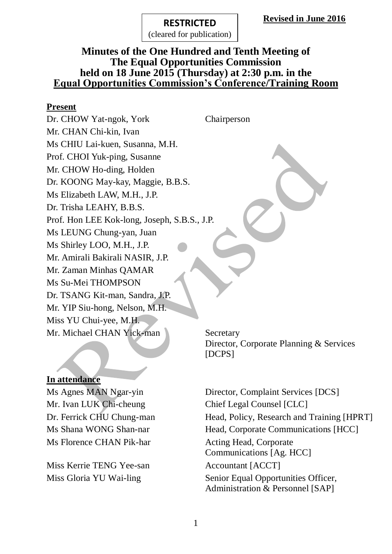(cleared for publication)

### **Minutes of the One Hundred and Tenth Meeting of The Equal Opportunities Commission held on 18 June 2015 (Thursday) at 2:30 p.m. in the Equal Opportunities Commission's Conference/Training Room**

### **Present**

Dr. CHOW Yat-ngok, York Chairperson Mr. CHAN Chi-kin, Ivan Ms CHIU Lai-kuen, Susanna, M.H. Prof. CHOI Yuk-ping, Susanne Mr. CHOW Ho-ding, Holden Dr. KOONG May-kay, Maggie, B.B.S. Ms Elizabeth LAW, M.H., J.P. Dr. Trisha LEAHY, B.B.S. Prof. Hon LEE Kok-long, Joseph, S.B.S., J.P. Ms LEUNG Chung-yan, Juan Ms Shirley LOO, M.H., J.P. Mr. Amirali Bakirali NASIR, J.P. Mr. Zaman Minhas QAMAR Ms Su-Mei THOMPSON Dr. TSANG Kit-man, Sandra, J.P. Mr. YIP Siu-hong, Nelson, M.H. Miss YU Chui-yee, M.H. Mr. Michael CHAN Yick-man Secretary

### **In attendance**

Mr. Ivan LUK Chi-cheung Chief Legal Counsel [CLC] Ms Florence CHAN Pik-har Acting Head, Corporate

Miss Kerrie TENG Yee-san Accountant [ACCT]

Director, Corporate Planning & Services [DCPS]

Ms Agnes MAN Ngar-yin Director, Complaint Services [DCS] Dr. Ferrick CHU Chung-man Head, Policy, Research and Training [HPRT] Ms Shana WONG Shan-nar Head, Corporate Communications [HCC] Communications [Ag. HCC] Miss Gloria YU Wai-ling Senior Equal Opportunities Officer, Administration & Personnel [SAP]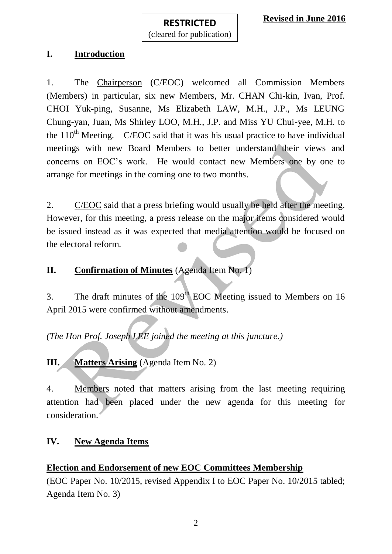## **I. Introduction**

1. The Chairperson (C/EOC) welcomed all Commission Members (Members) in particular, six new Members, Mr. CHAN Chi-kin, Ivan, Prof. CHOI Yuk-ping, Susanne, Ms Elizabeth LAW, M.H., J.P., Ms LEUNG Chung-yan, Juan, Ms Shirley LOO, M.H., J.P. and Miss YU Chui-yee, M.H. to the  $110<sup>th</sup>$  Meeting. C/EOC said that it was his usual practice to have individual meetings with new Board Members to better understand their views and concerns on EOC's work. He would contact new Members one by one to arrange for meetings in the coming one to two months.

2. C/EOC said that a press briefing would usually be held after the meeting. However, for this meeting, a press release on the major items considered would be issued instead as it was expected that media attention would be focused on the electoral reform.

**II. Confirmation of Minutes** (Agenda Item No. 1)

3. The draft minutes of the  $109<sup>th</sup>$  EOC Meeting issued to Members on 16 April 2015 were confirmed without amendments.

*(The Hon Prof. Joseph LEE joined the meeting at this juncture.)*

**III. Matters Arising** (Agenda Item No. 2)

4. Members noted that matters arising from the last meeting requiring attention had been placed under the new agenda for this meeting for consideration.

## **IV. New Agenda Items**

### **Election and Endorsement of new EOC Committees Membership**

(EOC Paper No. 10/2015, revised Appendix I to EOC Paper No. 10/2015 tabled; Agenda Item No. 3)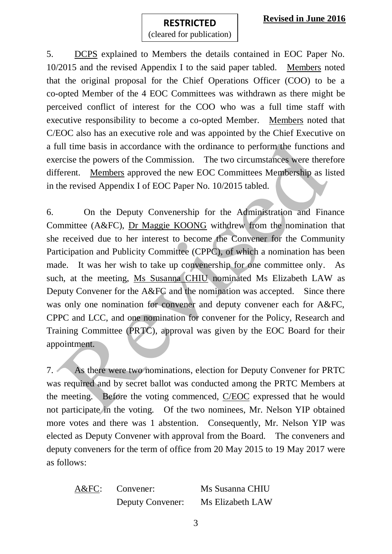### **RESTRICTED** (cleared for publication)

5. DCPS explained to Members the details contained in EOC Paper No. 10/2015 and the revised Appendix I to the said paper tabled. Members noted that the original proposal for the Chief Operations Officer (COO) to be a co-opted Member of the 4 EOC Committees was withdrawn as there might be perceived conflict of interest for the COO who was a full time staff with executive responsibility to become a co-opted Member. Members noted that C/EOC also has an executive role and was appointed by the Chief Executive on a full time basis in accordance with the ordinance to perform the functions and exercise the powers of the Commission. The two circumstances were therefore different. Members approved the new EOC Committees Membership as listed in the revised Appendix I of EOC Paper No. 10/2015 tabled.

6. On the Deputy Convenership for the Administration and Finance Committee (A&FC), Dr Maggie KOONG withdrew from the nomination that she received due to her interest to become the Convener for the Community Participation and Publicity Committee (CPPC), of which a nomination has been made. It was her wish to take up convenership for one committee only. As such, at the meeting, Ms Susanna CHIU nominated Ms Elizabeth LAW as Deputy Convener for the A&FC and the nomination was accepted. Since there was only one nomination for convener and deputy convener each for A&FC, CPPC and LCC, and one nomination for convener for the Policy, Research and Training Committee (PRTC), approval was given by the EOC Board for their appointment.

7. As there were two nominations, election for Deputy Convener for PRTC was required and by secret ballot was conducted among the PRTC Members at the meeting. Before the voting commenced, C/EOC expressed that he would not participate in the voting. Of the two nominees, Mr. Nelson YIP obtained more votes and there was 1 abstention. Consequently, Mr. Nelson YIP was elected as Deputy Convener with approval from the Board. The conveners and deputy conveners for the term of office from 20 May 2015 to 19 May 2017 were as follows:

A&FC: Convener: Ms Susanna CHIU

Deputy Convener: Ms Elizabeth LAW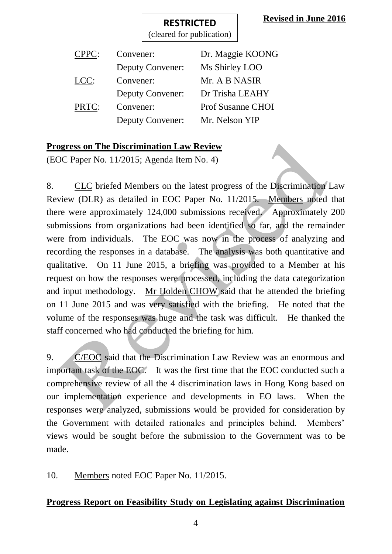(cleared for publication)

| CPPC: | Convener:               | Dr. Maggie KOONG         |
|-------|-------------------------|--------------------------|
|       | <b>Deputy Convener:</b> | Ms Shirley LOO           |
| LCC:  | Convener:               | Mr. A B NASIR            |
|       | <b>Deputy Convener:</b> | Dr Trisha LEAHY          |
| PRTC: | Convener:               | <b>Prof Susanne CHOI</b> |
|       | <b>Deputy Convener:</b> | Mr. Nelson YIP           |
|       |                         |                          |

## **Progress on The Discrimination Law Review**

(EOC Paper No. 11/2015; Agenda Item No. 4)

8. CLC briefed Members on the latest progress of the Discrimination Law Review (DLR) as detailed in EOC Paper No. 11/2015. Members noted that there were approximately 124,000 submissions received. Approximately 200 submissions from organizations had been identified so far, and the remainder were from individuals. The EOC was now in the process of analyzing and recording the responses in a database. The analysis was both quantitative and qualitative. On 11 June 2015, a briefing was provided to a Member at his request on how the responses were processed, including the data categorization and input methodology. Mr Holden CHOW said that he attended the briefing on 11 June 2015 and was very satisfied with the briefing. He noted that the volume of the responses was huge and the task was difficult. He thanked the staff concerned who had conducted the briefing for him.

9. C/EOC said that the Discrimination Law Review was an enormous and important task of the EOC. It was the first time that the EOC conducted such a comprehensive review of all the 4 discrimination laws in Hong Kong based on our implementation experience and developments in EO laws. When the responses were analyzed, submissions would be provided for consideration by the Government with detailed rationales and principles behind. Members' views would be sought before the submission to the Government was to be made.

10. Members noted EOC Paper No. 11/2015.

# **Progress Report on Feasibility Study on Legislating against Discrimination**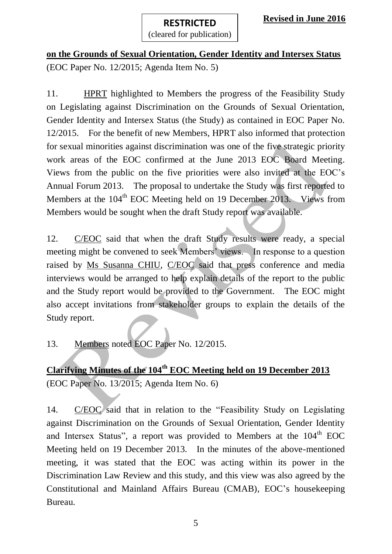**on the Grounds of Sexual Orientation, Gender Identity and Intersex Status** (EOC Paper No. 12/2015; Agenda Item No. 5)

**RESTRICTED** (cleared for publication)

11. HPRT highlighted to Members the progress of the Feasibility Study on Legislating against Discrimination on the Grounds of Sexual Orientation, Gender Identity and Intersex Status (the Study) as contained in EOC Paper No. 12/2015. For the benefit of new Members, HPRT also informed that protection for sexual minorities against discrimination was one of the five strategic priority work areas of the EOC confirmed at the June 2013 EOC Board Meeting. Views from the public on the five priorities were also invited at the EOC's Annual Forum 2013. The proposal to undertake the Study was first reported to Members at the  $104<sup>th</sup>$  EOC Meeting held on 19 December 2013. Views from Members would be sought when the draft Study report was available.

12. C/EOC said that when the draft Study results were ready, a special meeting might be convened to seek Members' views. In response to a question raised by Ms Susanna CHIU, C/EOC said that press conference and media interviews would be arranged to help explain details of the report to the public and the Study report would be provided to the Government. The EOC might also accept invitations from stakeholder groups to explain the details of the Study report.

13. Members noted EOC Paper No. 12/2015.

**Clarifying Minutes of the 104th EOC Meeting held on 19 December 2013** (EOC Paper No. 13/2015; Agenda Item No. 6)

14. C/EOC said that in relation to the "Feasibility Study on Legislating against Discrimination on the Grounds of Sexual Orientation, Gender Identity and Intersex Status", a report was provided to Members at the 104<sup>th</sup> EOC Meeting held on 19 December 2013. In the minutes of the above-mentioned meeting, it was stated that the EOC was acting within its power in the Discrimination Law Review and this study, and this view was also agreed by the Constitutional and Mainland Affairs Bureau (CMAB), EOC's housekeeping Bureau.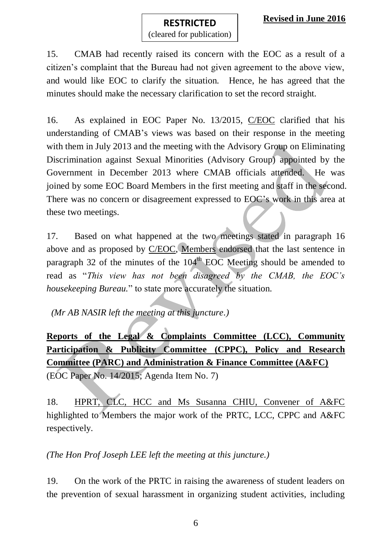(cleared for publication)

15. CMAB had recently raised its concern with the EOC as a result of a citizen's complaint that the Bureau had not given agreement to the above view, and would like EOC to clarify the situation. Hence, he has agreed that the minutes should make the necessary clarification to set the record straight.

16. As explained in EOC Paper No. 13/2015, C/EOC clarified that his understanding of CMAB's views was based on their response in the meeting with them in July 2013 and the meeting with the Advisory Group on Eliminating Discrimination against Sexual Minorities (Advisory Group) appointed by the Government in December 2013 where CMAB officials attended. He was joined by some EOC Board Members in the first meeting and staff in the second. There was no concern or disagreement expressed to EOC's work in this area at these two meetings.

17. Based on what happened at the two meetings stated in paragraph 16 above and as proposed by C/EOC, Members endorsed that the last sentence in paragraph 32 of the minutes of the  $104<sup>th</sup>$  EOC Meeting should be amended to read as "*This view has not been disagreed by the CMAB, the EOC's housekeeping Bureau.*" to state more accurately the situation.

*(Mr AB NASIR left the meeting at this juncture.)*

**Reports of the Legal & Complaints Committee (LCC), Community Participation & Publicity Committee (CPPC), Policy and Research Committee (PARC) and Administration & Finance Committee (A&FC)** (EOC Paper No. 14/2015; Agenda Item No. 7)

18. HPRT, CLC, HCC and Ms Susanna CHIU, Convener of A&FC highlighted to Members the major work of the PRTC, LCC, CPPC and A&FC respectively.

*(The Hon Prof Joseph LEE left the meeting at this juncture.)*

19. On the work of the PRTC in raising the awareness of student leaders on the prevention of sexual harassment in organizing student activities, including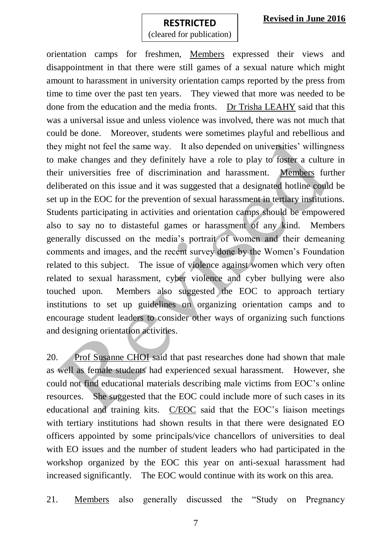### **Revised in June 2016**

#### **RESTRICTED**

(cleared for publication)

orientation camps for freshmen, Members expressed their views and disappointment in that there were still games of a sexual nature which might amount to harassment in university orientation camps reported by the press from time to time over the past ten years. They viewed that more was needed to be done from the education and the media fronts. Dr Trisha LEAHY said that this was a universal issue and unless violence was involved, there was not much that could be done. Moreover, students were sometimes playful and rebellious and they might not feel the same way. It also depended on universities' willingness to make changes and they definitely have a role to play to foster a culture in their universities free of discrimination and harassment. Members further deliberated on this issue and it was suggested that a designated hotline could be set up in the EOC for the prevention of sexual harassment in tertiary institutions. Students participating in activities and orientation camps should be empowered also to say no to distasteful games or harassment of any kind. Members generally discussed on the media's portrait of women and their demeaning comments and images, and the recent survey done by the Women's Foundation related to this subject. The issue of violence against women which very often related to sexual harassment, cyber violence and cyber bullying were also touched upon. Members also suggested the EOC to approach tertiary institutions to set up guidelines on organizing orientation camps and to encourage student leaders to consider other ways of organizing such functions and designing orientation activities.

20. Prof Susanne CHOI said that past researches done had shown that male as well as female students had experienced sexual harassment. However, she could not find educational materials describing male victims from EOC's online resources. She suggested that the EOC could include more of such cases in its educational and training kits. C/EOC said that the EOC's liaison meetings with tertiary institutions had shown results in that there were designated EO officers appointed by some principals/vice chancellors of universities to deal with EO issues and the number of student leaders who had participated in the workshop organized by the EOC this year on anti-sexual harassment had increased significantly. The EOC would continue with its work on this area.

21. Members also generally discussed the "Study on Pregnancy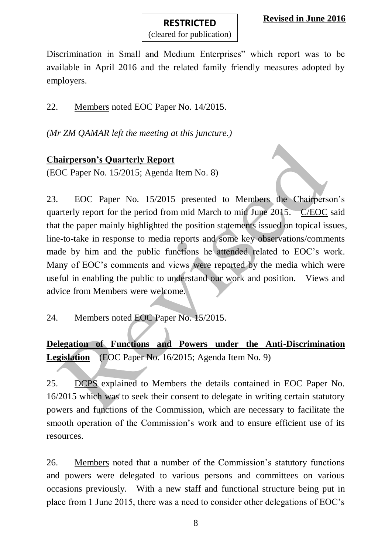Discrimination in Small and Medium Enterprises" which report was to be available in April 2016 and the related family friendly measures adopted by employers.

**RESTRICTED** (cleared for publication)

22. Members noted EOC Paper No. 14/2015.

*(Mr ZM QAMAR left the meeting at this juncture.)*

### **Chairperson's Quarterly Report**

(EOC Paper No. 15/2015; Agenda Item No. 8)

23. EOC Paper No. 15/2015 presented to Members the Chairperson's quarterly report for the period from mid March to mid June 2015. C/EOC said that the paper mainly highlighted the position statements issued on topical issues, line-to-take in response to media reports and some key observations/comments made by him and the public functions he attended related to EOC's work. Many of EOC's comments and views were reported by the media which were useful in enabling the public to understand our work and position. Views and advice from Members were welcome.

24. Members noted EOC Paper No. 15/2015.

**Delegation of Functions and Powers under the Anti-Discrimination**  Legislation (EOC Paper No. 16/2015; Agenda Item No. 9)

25. DCPS explained to Members the details contained in EOC Paper No. 16/2015 which was to seek their consent to delegate in writing certain statutory powers and functions of the Commission, which are necessary to facilitate the smooth operation of the Commission's work and to ensure efficient use of its resources.

26. Members noted that a number of the Commission's statutory functions and powers were delegated to various persons and committees on various occasions previously. With a new staff and functional structure being put in place from 1 June 2015, there was a need to consider other delegations of EOC's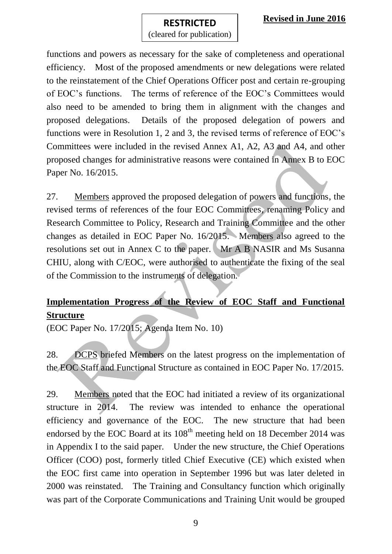(cleared for publication)

functions and powers as necessary for the sake of completeness and operational efficiency. Most of the proposed amendments or new delegations were related to the reinstatement of the Chief Operations Officer post and certain re-grouping of EOC's functions. The terms of reference of the EOC's Committees would also need to be amended to bring them in alignment with the changes and proposed delegations. Details of the proposed delegation of powers and functions were in Resolution 1, 2 and 3, the revised terms of reference of EOC's Committees were included in the revised Annex A1, A2, A3 and A4, and other proposed changes for administrative reasons were contained in Annex B to EOC Paper No. 16/2015.

27. Members approved the proposed delegation of powers and functions, the revised terms of references of the four EOC Committees, renaming Policy and Research Committee to Policy, Research and Training Committee and the other changes as detailed in EOC Paper No. 16/2015. Members also agreed to the resolutions set out in Annex C to the paper. Mr A B NASIR and Ms Susanna CHIU, along with C/EOC, were authorised to authenticate the fixing of the seal of the Commission to the instruments of delegation.

# **Implementation Progress of the Review of EOC Staff and Functional Structure**

(EOC Paper No. 17/2015; Agenda Item No. 10)

28. DCPS briefed Members on the latest progress on the implementation of the EOC Staff and Functional Structure as contained in EOC Paper No. 17/2015.

29. Members noted that the EOC had initiated a review of its organizational structure in 2014. The review was intended to enhance the operational efficiency and governance of the EOC. The new structure that had been endorsed by the EOC Board at its  $108<sup>th</sup>$  meeting held on 18 December 2014 was in Appendix I to the said paper. Under the new structure, the Chief Operations Officer (COO) post, formerly titled Chief Executive (CE) which existed when the EOC first came into operation in September 1996 but was later deleted in 2000 was reinstated. The Training and Consultancy function which originally was part of the Corporate Communications and Training Unit would be grouped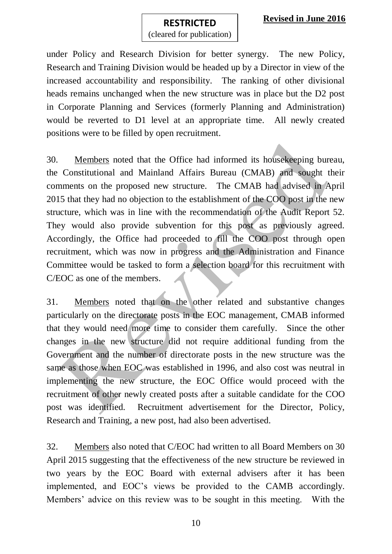### **Revised in June 2016**

# **RESTRICTED**

(cleared for publication)

under Policy and Research Division for better synergy. The new Policy, Research and Training Division would be headed up by a Director in view of the increased accountability and responsibility. The ranking of other divisional heads remains unchanged when the new structure was in place but the D2 post in Corporate Planning and Services (formerly Planning and Administration) would be reverted to D1 level at an appropriate time. All newly created positions were to be filled by open recruitment.

30. Members noted that the Office had informed its housekeeping bureau, the Constitutional and Mainland Affairs Bureau (CMAB) and sought their comments on the proposed new structure. The CMAB had advised in April 2015 that they had no objection to the establishment of the COO post in the new structure, which was in line with the recommendation of the Audit Report 52. They would also provide subvention for this post as previously agreed. Accordingly, the Office had proceeded to fill the COO post through open recruitment, which was now in progress and the Administration and Finance Committee would be tasked to form a selection board for this recruitment with C/EOC as one of the members.

31. Members noted that on the other related and substantive changes particularly on the directorate posts in the EOC management, CMAB informed that they would need more time to consider them carefully. Since the other changes in the new structure did not require additional funding from the Government and the number of directorate posts in the new structure was the same as those when EOC was established in 1996, and also cost was neutral in implementing the new structure, the EOC Office would proceed with the recruitment of other newly created posts after a suitable candidate for the COO post was identified. Recruitment advertisement for the Director, Policy, Research and Training, a new post, had also been advertised.

32. Members also noted that C/EOC had written to all Board Members on 30 April 2015 suggesting that the effectiveness of the new structure be reviewed in two years by the EOC Board with external advisers after it has been implemented, and EOC's views be provided to the CAMB accordingly. Members' advice on this review was to be sought in this meeting. With the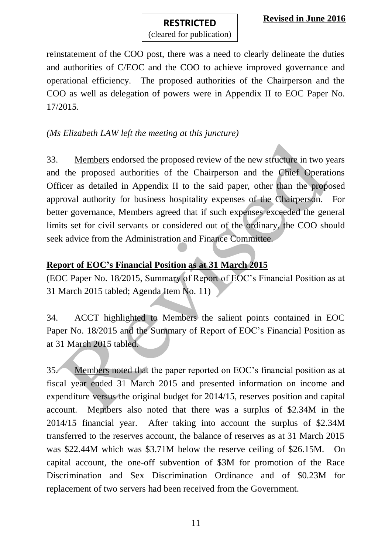**RESTRICTED** (cleared for publication)

reinstatement of the COO post, there was a need to clearly delineate the duties and authorities of C/EOC and the COO to achieve improved governance and operational efficiency. The proposed authorities of the Chairperson and the COO as well as delegation of powers were in Appendix II to EOC Paper No. 17/2015.

### *(Ms Elizabeth LAW left the meeting at this juncture)*

33. Members endorsed the proposed review of the new structure in two years and the proposed authorities of the Chairperson and the Chief Operations Officer as detailed in Appendix II to the said paper, other than the proposed approval authority for business hospitality expenses of the Chairperson. For better governance, Members agreed that if such expenses exceeded the general limits set for civil servants or considered out of the ordinary, the COO should seek advice from the Administration and Finance Committee.

## **Report of EOC's Financial Position as at 31 March 2015**

(EOC Paper No. 18/2015, Summary of Report of EOC's Financial Position as at 31 March 2015 tabled; Agenda Item No. 11)

34. ACCT highlighted to Members the salient points contained in EOC Paper No. 18/2015 and the Summary of Report of EOC's Financial Position as at 31 March 2015 tabled.

35. Members noted that the paper reported on EOC's financial position as at fiscal year ended 31 March 2015 and presented information on income and expenditure versus the original budget for 2014/15, reserves position and capital account. Members also noted that there was a surplus of \$2.34M in the 2014/15 financial year. After taking into account the surplus of \$2.34M transferred to the reserves account, the balance of reserves as at 31 March 2015 was \$22.44M which was \$3.71M below the reserve ceiling of \$26.15M. On capital account, the one-off subvention of \$3M for promotion of the Race Discrimination and Sex Discrimination Ordinance and of \$0.23M for replacement of two servers had been received from the Government.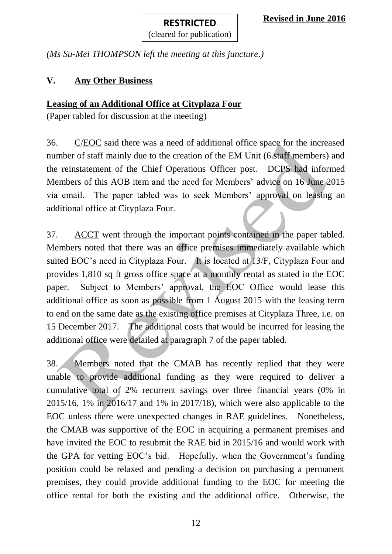(cleared for publication)

*(Ms Su-Mei THOMPSON left the meeting at this juncture.)*

## **V. Any Other Business**

## **Leasing of an Additional Office at Cityplaza Four**

(Paper tabled for discussion at the meeting)

36. C/EOC said there was a need of additional office space for the increased number of staff mainly due to the creation of the EM Unit (6 staff members) and the reinstatement of the Chief Operations Officer post. DCPS had informed Members of this AOB item and the need for Members' advice on 16 June 2015 via email. The paper tabled was to seek Members' approval on leasing an additional office at Cityplaza Four.

37. ACCT went through the important points contained in the paper tabled. Members noted that there was an office premises immediately available which suited EOC's need in Cityplaza Four. It is located at 13/F, Cityplaza Four and provides 1,810 sq ft gross office space at a monthly rental as stated in the EOC paper. Subject to Members' approval, the EOC Office would lease this additional office as soon as possible from 1 August 2015 with the leasing term to end on the same date as the existing office premises at Cityplaza Three, i.e. on 15 December 2017. The additional costs that would be incurred for leasing the additional office were detailed at paragraph 7 of the paper tabled.

38. Members noted that the CMAB has recently replied that they were unable to provide additional funding as they were required to deliver a cumulative total of 2% recurrent savings over three financial years (0% in 2015/16, 1% in 2016/17 and 1% in 2017/18), which were also applicable to the EOC unless there were unexpected changes in RAE guidelines. Nonetheless, the CMAB was supportive of the EOC in acquiring a permanent premises and have invited the EOC to resubmit the RAE bid in 2015/16 and would work with the GPA for vetting EOC's bid. Hopefully, when the Government's funding position could be relaxed and pending a decision on purchasing a permanent premises, they could provide additional funding to the EOC for meeting the office rental for both the existing and the additional office. Otherwise, the